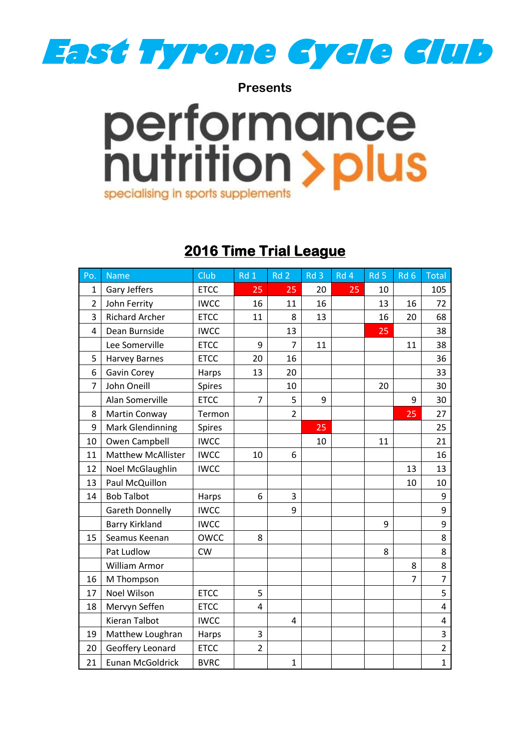

**Presents**

## performance<br>hutrition > plus specialising in sports supplements

## **2016 Time Trial League**

| P <sub>O</sub> | <b>Name</b>               | Club          | Rd 1           | Rd <sub>2</sub> | Rd 3 | Rd 4 | Rd 5 | Rd <sub>6</sub> | <b>Total</b>            |
|----------------|---------------------------|---------------|----------------|-----------------|------|------|------|-----------------|-------------------------|
| $\mathbf 1$    | Gary Jeffers              | <b>ETCC</b>   | 25             | 25              | 20   | 25   | 10   |                 | 105                     |
| $\overline{2}$ | John Ferrity              | <b>IWCC</b>   | 16             | 11              | 16   |      | 13   | 16              | 72                      |
| 3              | <b>Richard Archer</b>     | <b>ETCC</b>   | 11             | 8               | 13   |      | 16   | 20              | 68                      |
| 4              | Dean Burnside             | <b>IWCC</b>   |                | 13              |      |      | 25   |                 | 38                      |
|                | Lee Somerville            | <b>ETCC</b>   | 9              | $\overline{7}$  | 11   |      |      | 11              | 38                      |
| 5              | <b>Harvey Barnes</b>      | <b>ETCC</b>   | 20             | 16              |      |      |      |                 | 36                      |
| 6              | Gavin Corey               | Harps         | 13             | 20              |      |      |      |                 | 33                      |
| 7              | John Oneill               | <b>Spires</b> |                | 10              |      |      | 20   |                 | 30                      |
|                | Alan Somerville           | <b>ETCC</b>   | $\overline{7}$ | 5               | 9    |      |      | 9               | 30                      |
| 8              | Martin Conway             | Termon        |                | $\overline{2}$  |      |      |      | 25              | 27                      |
| 9              | <b>Mark Glendinning</b>   | <b>Spires</b> |                |                 | 25   |      |      |                 | 25                      |
| 10             | Owen Campbell             | <b>IWCC</b>   |                |                 | 10   |      | 11   |                 | 21                      |
| 11             | <b>Matthew McAllister</b> | <b>IWCC</b>   | 10             | 6               |      |      |      |                 | 16                      |
| 12             | Noel McGlaughlin          | <b>IWCC</b>   |                |                 |      |      |      | 13              | 13                      |
| 13             | Paul McQuillon            |               |                |                 |      |      |      | 10              | 10                      |
| 14             | <b>Bob Talbot</b>         | Harps         | 6              | 3               |      |      |      |                 | 9                       |
|                | <b>Gareth Donnelly</b>    | <b>IWCC</b>   |                | 9               |      |      |      |                 | 9                       |
|                | <b>Barry Kirkland</b>     | <b>IWCC</b>   |                |                 |      |      | 9    |                 | 9                       |
| 15             | Seamus Keenan             | <b>OWCC</b>   | 8              |                 |      |      |      |                 | 8                       |
|                | Pat Ludlow                | <b>CW</b>     |                |                 |      |      | 8    |                 | 8                       |
|                | William Armor             |               |                |                 |      |      |      | 8               | 8                       |
| 16             | M Thompson                |               |                |                 |      |      |      | 7               | $\overline{7}$          |
| 17             | <b>Noel Wilson</b>        | <b>ETCC</b>   | 5              |                 |      |      |      |                 | 5                       |
| 18             | Mervyn Seffen             | <b>ETCC</b>   | 4              |                 |      |      |      |                 | 4                       |
|                | Kieran Talbot             | <b>IWCC</b>   |                | 4               |      |      |      |                 | 4                       |
| 19             | Matthew Loughran          | Harps         | 3              |                 |      |      |      |                 | $\overline{\mathbf{3}}$ |
| 20             | Geoffery Leonard          | <b>ETCC</b>   | $\overline{2}$ |                 |      |      |      |                 | $\overline{2}$          |
| 21             | <b>Eunan McGoldrick</b>   | <b>BVRC</b>   |                | $\mathbf{1}$    |      |      |      |                 | $\overline{1}$          |